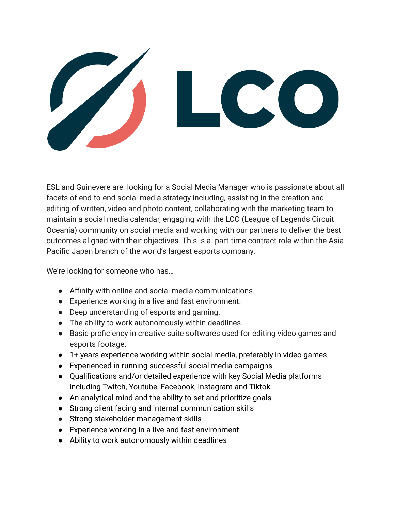

ESL and Guinevere are looking for a Social Media Manager who is passionate about all facets of end-to-end social media strategy including, assisting in the creation and editing of written, video and photo content, collaborating with the marketing team to maintain a social media calendar, engaging with the LCO (League of Legends Circuit Oceania) community on social media and working with our partners to deliver the best outcomes aligned with their objectives. This is a part-time contract role within the Asia Pacific Japan branch of the world's largest esports company.

We're looking for someone who has…

- Affinity with online and social media communications.
- Experience working in a live and fast environment.
- Deep understanding of esports and gaming.
- The ability to work autonomously within deadlines.
- Basic proficiency in creative suite softwares used for editing video games and esports footage.
- 1+ years experience working within social media, preferably in video games
- Experienced in running successful social media campaigns
- Qualifications and/or detailed experience with key Social Media platforms including Twitch, Youtube, Facebook, Instagram and Tiktok
- An analytical mind and the ability to set and prioritize goals
- Strong client facing and internal communication skills
- Strong stakeholder management skills
- Experience working in a live and fast environment
- Ability to work autonomously within deadlines